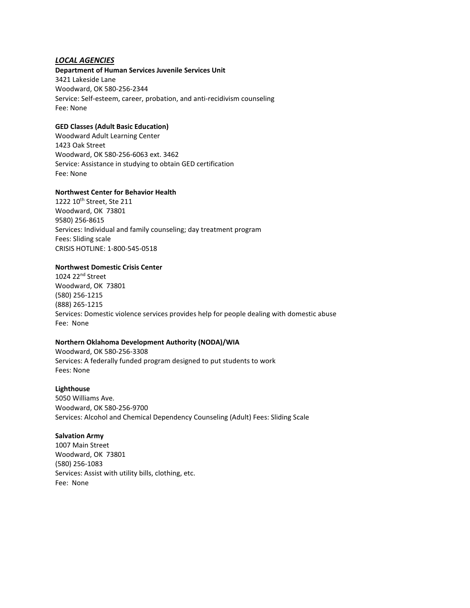# *LOCAL AGENCIES*

## **Department of Human Services Juvenile Services Unit**

3421 Lakeside Lane Woodward, OK 580-256-2344 Service: Self-esteem, career, probation, and anti-recidivism counseling Fee: None

## **GED Classes (Adult Basic Education)**

Woodward Adult Learning Center 1423 Oak Street Woodward, OK 580-256-6063 ext. 3462 Service: Assistance in studying to obtain GED certification Fee: None

## **Northwest Center for Behavior Health**

1222 10<sup>th</sup> Street, Ste 211 Woodward, OK 73801 9580) 256-8615 Services: Individual and family counseling; day treatment program Fees: Sliding scale CRISIS HOTLINE: 1-800-545-0518

#### **Northwest Domestic Crisis Center**

1024 22nd Street Woodward, OK 73801 (580) 256-1215 (888) 265-1215 Services: Domestic violence services provides help for people dealing with domestic abuse Fee: None

# **Northern Oklahoma Development Authority (NODA)/WIA**

Woodward, OK 580-256-3308 Services: A federally funded program designed to put students to work Fees: None

## **Lighthouse**

5050 Williams Ave. Woodward, OK 580-256-9700 Services: Alcohol and Chemical Dependency Counseling (Adult) Fees: Sliding Scale

#### **Salvation Army**

1007 Main Street Woodward, OK 73801 (580) 256-1083 Services: Assist with utility bills, clothing, etc. Fee: None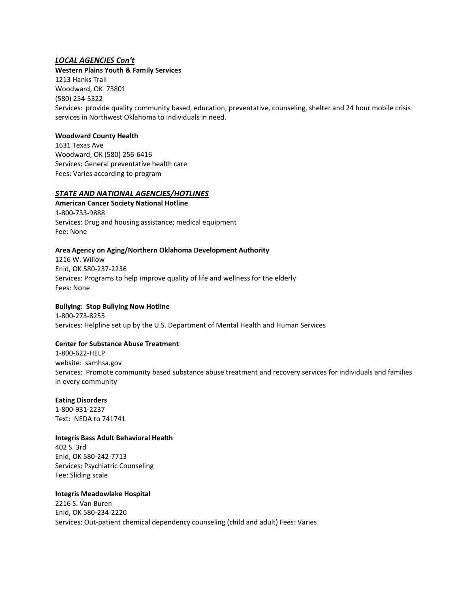# *LOCAL AGENCIES Con't*

**Western Plains Youth & Family Services** 1213 Hanks Trail Woodward, OK 73801 (580) 254-5322 Services: provide quality community based, education, preventative, counseling, shelter and 24 hour mobile crisis services in Northwest Oklahoma to individuals in need.

## **Woodward County Health**

1631 Texas Ave Woodward, OK (580) 256-6416 Services: General preventative health care Fees: Varies according to program

# *STATE AND NATIONAL AGENCIES/HOTLINES*

**American Cancer Society National Hotline**  1-800-733-9888 Services: Drug and housing assistance; medical equipment Fee: None

## **Area Agency on Aging/Northern Oklahoma Development Authority**

1216 W. Willow Enid, OK 580-237-2236 Services: Programs to help improve quality of life and wellness for the elderly Fees: None

# **Bullying: Stop Bullying Now Hotline**

1-800-273-8255 Services: Helpline set up by the U.S. Department of Mental Health and Human Services

# **Center for Substance Abuse Treatment**

1-800-622-HELP website: samhsa.gov Services: Promote community based substance abuse treatment and recovery services for individuals and families in every community

#### **Eating Disorders**

1-800-931-2237 Text: NEDA to 741741

#### **Integris Bass Adult Behavioral Health**

402 S. 3rd Enid, OK 580-242-7713 Services: Psychiatric Counseling Fee: Sliding scale

## **Integris Meadowlake Hospital**

2216 S. Van Buren Enid, OK 580-234-2220 Services: Out-patient chemical dependency counseling (child and adult) Fees: Varies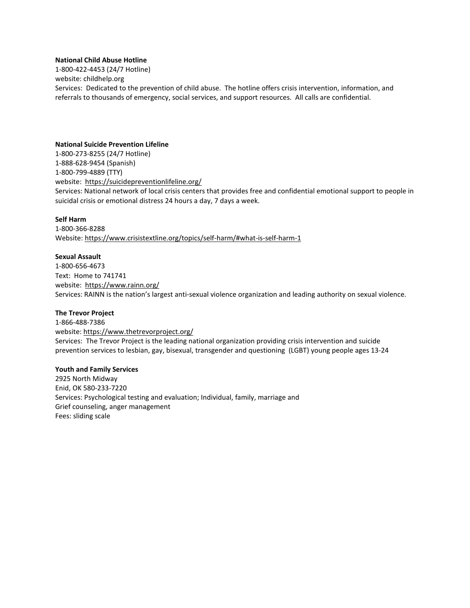## **National Child Abuse Hotline**

1-800-422-4453 (24/7 Hotline) website: childhelp.org Services: Dedicated to the prevention of child abuse. The hotline offers crisis intervention, information, and referrals to thousands of emergency, social services, and support resources. All calls are confidential.

#### **National Suicide Prevention Lifeline**

1-800-273-8255 (24/7 Hotline) 1-888-628-9454 (Spanish) 1-800-799-4889 (TTY) website: <https://suicidepreventionlifeline.org/> Services: National network of local crisis centers that provides free and confidential emotional support to people in suicidal crisis or emotional distress 24 hours a day, 7 days a week.

#### **Self Harm**

1-800-366-8288 Website[: https://www.crisistextline.org/topics/self-harm/#what-is-self-harm-1](https://www.crisistextline.org/topics/self-harm/#what-is-self-harm-1)

#### **Sexual Assault**

1-800-656-4673 Text: Home to 741741 website: <https://www.rainn.org/> Services: RAINN is the nation's largest anti-sexual violence organization and leading authority on sexual violence.

#### **The Trevor Project**

1-866-488-7386 website:<https://www.thetrevorproject.org/> Services: The Trevor Project is the leading national organization providing crisis intervention and suicide prevention services to lesbian, gay, bisexual, transgender and questioning (LGBT) young people ages 13-24

#### **Youth and Family Services**

2925 North Midway Enid, OK 580-233-7220 Services: Psychological testing and evaluation; Individual, family, marriage and Grief counseling, anger management Fees: sliding scale